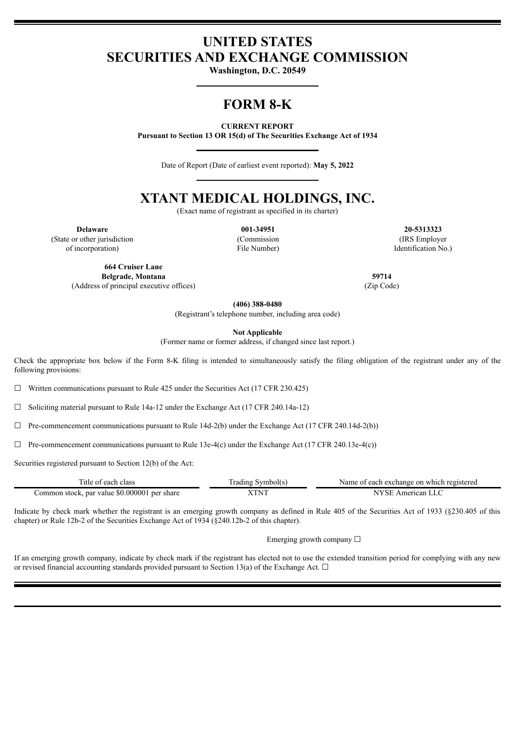# **UNITED STATES SECURITIES AND EXCHANGE COMMISSION**

**Washington, D.C. 20549**

# **FORM 8-K**

**CURRENT REPORT**

**Pursuant to Section 13 OR 15(d) of The Securities Exchange Act of 1934**

Date of Report (Date of earliest event reported): **May 5, 2022**

# **XTANT MEDICAL HOLDINGS, INC.**

(Exact name of registrant as specified in its charter)

(State or other jurisdiction of incorporation)

(Commission File Number)

**Delaware 001-34951 20-5313323** (IRS Employer Identification No.)

**664 Cruiser Lane Belgrade, Montana 59714**

(Address of principal executive offices) (Zip Code)

**(406) 388-0480**

(Registrant's telephone number, including area code)

**Not Applicable**

(Former name or former address, if changed since last report.)

Check the appropriate box below if the Form 8-K filing is intended to simultaneously satisfy the filing obligation of the registrant under any of the following provisions:

 $\Box$  Written communications pursuant to Rule 425 under the Securities Act (17 CFR 230.425)

 $\Box$  Soliciting material pursuant to Rule 14a-12 under the Exchange Act (17 CFR 240.14a-12)

 $\Box$  Pre-commencement communications pursuant to Rule 14d-2(b) under the Exchange Act (17 CFR 240.14d-2(b))

 $\Box$  Pre-commencement communications pursuant to Rule 13e-4(c) under the Exchange Act (17 CFR 240.13e-4(c))

Securities registered pursuant to Section 12(b) of the Act:

| l'itle of each class                         | trading Symbol(s) | Name of each exchange on which registered |  |  |  |
|----------------------------------------------|-------------------|-------------------------------------------|--|--|--|
| Common stock, par value \$0.000001 per share | XTNT              | NYSE<br>American LLC                      |  |  |  |

Indicate by check mark whether the registrant is an emerging growth company as defined in Rule 405 of the Securities Act of 1933 (§230.405 of this chapter) or Rule 12b-2 of the Securities Exchange Act of 1934 (§240.12b-2 of this chapter).

Emerging growth company  $\Box$ 

If an emerging growth company, indicate by check mark if the registrant has elected not to use the extended transition period for complying with any new or revised financial accounting standards provided pursuant to Section 13(a) of the Exchange Act.  $\Box$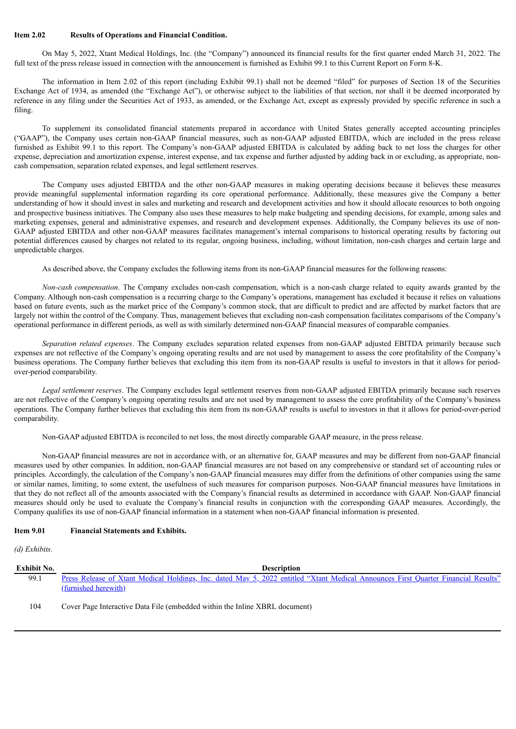#### **Item 2.02 Results of Operations and Financial Condition.**

On May 5, 2022, Xtant Medical Holdings, Inc. (the "Company") announced its financial results for the first quarter ended March 31, 2022. The full text of the press release issued in connection with the announcement is furnished as Exhibit 99.1 to this Current Report on Form 8-K.

The information in Item 2.02 of this report (including Exhibit 99.1) shall not be deemed "filed" for purposes of Section 18 of the Securities Exchange Act of 1934, as amended (the "Exchange Act"), or otherwise subject to the liabilities of that section, nor shall it be deemed incorporated by reference in any filing under the Securities Act of 1933, as amended, or the Exchange Act, except as expressly provided by specific reference in such a filing.

To supplement its consolidated financial statements prepared in accordance with United States generally accepted accounting principles ("GAAP"), the Company uses certain non-GAAP financial measures, such as non-GAAP adjusted EBITDA, which are included in the press release furnished as Exhibit 99.1 to this report. The Company's non-GAAP adjusted EBITDA is calculated by adding back to net loss the charges for other expense, depreciation and amortization expense, interest expense, and tax expense and further adjusted by adding back in or excluding, as appropriate, noncash compensation, separation related expenses, and legal settlement reserves.

The Company uses adjusted EBITDA and the other non-GAAP measures in making operating decisions because it believes these measures provide meaningful supplemental information regarding its core operational performance. Additionally, these measures give the Company a better understanding of how it should invest in sales and marketing and research and development activities and how it should allocate resources to both ongoing and prospective business initiatives. The Company also uses these measures to help make budgeting and spending decisions, for example, among sales and marketing expenses, general and administrative expenses, and research and development expenses. Additionally, the Company believes its use of non-GAAP adjusted EBITDA and other non-GAAP measures facilitates management's internal comparisons to historical operating results by factoring out potential differences caused by charges not related to its regular, ongoing business, including, without limitation, non-cash charges and certain large and unpredictable charges.

As described above, the Company excludes the following items from its non-GAAP financial measures for the following reasons:

*Non-cash compensation*. The Company excludes non-cash compensation, which is a non-cash charge related to equity awards granted by the Company. Although non-cash compensation is a recurring charge to the Company's operations, management has excluded it because it relies on valuations based on future events, such as the market price of the Company's common stock, that are difficult to predict and are affected by market factors that are largely not within the control of the Company. Thus, management believes that excluding non-cash compensation facilitates comparisons of the Company's operational performance in different periods, as well as with similarly determined non-GAAP financial measures of comparable companies.

*Separation related expenses*. The Company excludes separation related expenses from non-GAAP adjusted EBITDA primarily because such expenses are not reflective of the Company's ongoing operating results and are not used by management to assess the core profitability of the Company's business operations. The Company further believes that excluding this item from its non-GAAP results is useful to investors in that it allows for periodover-period comparability.

*Legal settlement reserves*. The Company excludes legal settlement reserves from non-GAAP adjusted EBITDA primarily because such reserves are not reflective of the Company's ongoing operating results and are not used by management to assess the core profitability of the Company's business operations. The Company further believes that excluding this item from its non-GAAP results is useful to investors in that it allows for period-over-period comparability.

Non-GAAP adjusted EBITDA is reconciled to net loss, the most directly comparable GAAP measure, in the press release.

Non-GAAP financial measures are not in accordance with, or an alternative for, GAAP measures and may be different from non-GAAP financial measures used by other companies. In addition, non-GAAP financial measures are not based on any comprehensive or standard set of accounting rules or principles. Accordingly, the calculation of the Company's non-GAAP financial measures may differ from the definitions of other companies using the same or similar names, limiting, to some extent, the usefulness of such measures for comparison purposes. Non-GAAP financial measures have limitations in that they do not reflect all of the amounts associated with the Company's financial results as determined in accordance with GAAP. Non-GAAP financial measures should only be used to evaluate the Company's financial results in conjunction with the corresponding GAAP measures. Accordingly, the Company qualifies its use of non-GAAP financial information in a statement when non-GAAP financial information is presented.

#### **Item 9.01 Financial Statements and Exhibits.**

*(d) Exhibits.*

| <b>Exhibit No.</b> | <b>Description</b>                                                                                                                 |
|--------------------|------------------------------------------------------------------------------------------------------------------------------------|
| 99.1               | Press Release of Xtant Medical Holdings, Inc. dated May 5, 2022 entitled "Xtant Medical Announces First Quarter Financial Results" |
|                    | (furnished herewith)                                                                                                               |
| 104                | Cover Page Interactive Data File (embedded within the Inline XBRL document)                                                        |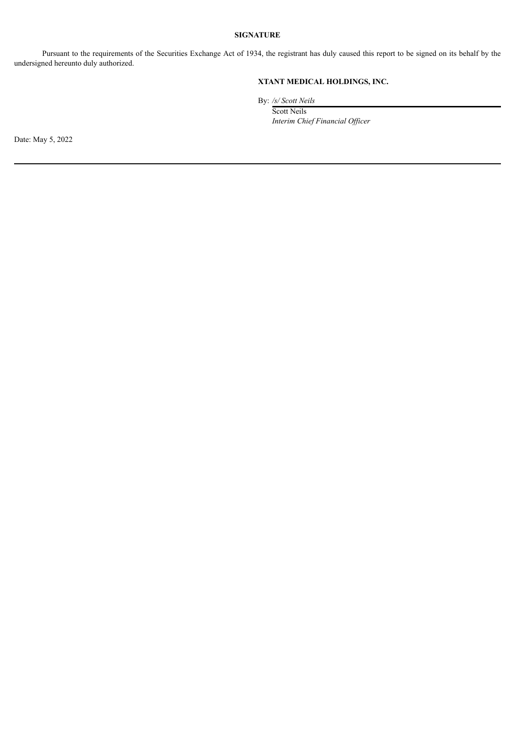### **SIGNATURE**

Pursuant to the requirements of the Securities Exchange Act of 1934, the registrant has duly caused this report to be signed on its behalf by the undersigned hereunto duly authorized.

## **XTANT MEDICAL HOLDINGS, INC.**

By: */s/ Scott Neils*

Scott Neils *Interim Chief Financial Of icer*

Date: May 5, 2022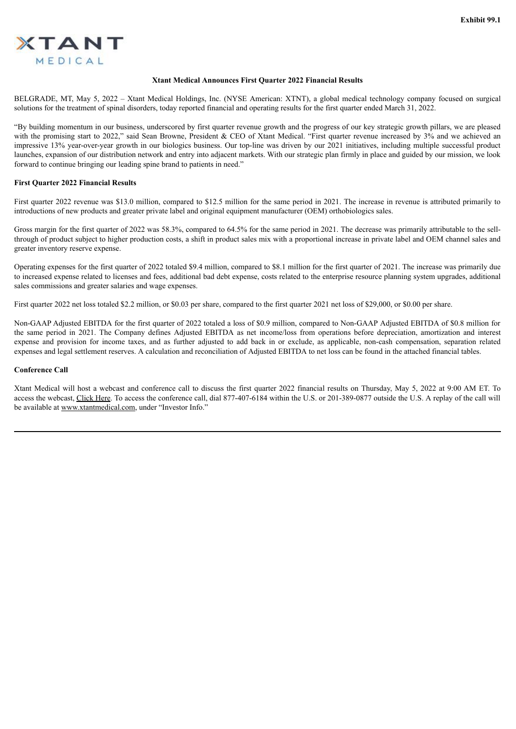<span id="page-3-0"></span>

#### **Xtant Medical Announces First Quarter 2022 Financial Results**

BELGRADE, MT, May 5, 2022 – Xtant Medical Holdings, Inc. (NYSE American: XTNT), a global medical technology company focused on surgical solutions for the treatment of spinal disorders, today reported financial and operating results for the first quarter ended March 31, 2022.

"By building momentum in our business, underscored by first quarter revenue growth and the progress of our key strategic growth pillars, we are pleased with the promising start to 2022," said Sean Browne, President & CEO of Xtant Medical. "First quarter revenue increased by 3% and we achieved an impressive 13% year-over-year growth in our biologics business. Our top-line was driven by our 2021 initiatives, including multiple successful product launches, expansion of our distribution network and entry into adjacent markets. With our strategic plan firmly in place and guided by our mission, we look forward to continue bringing our leading spine brand to patients in need."

#### **First Quarter 2022 Financial Results**

First quarter 2022 revenue was \$13.0 million, compared to \$12.5 million for the same period in 2021. The increase in revenue is attributed primarily to introductions of new products and greater private label and original equipment manufacturer (OEM) orthobiologics sales.

Gross margin for the first quarter of 2022 was 58.3%, compared to 64.5% for the same period in 2021. The decrease was primarily attributable to the sellthrough of product subject to higher production costs, a shift in product sales mix with a proportional increase in private label and OEM channel sales and greater inventory reserve expense.

Operating expenses for the first quarter of 2022 totaled \$9.4 million, compared to \$8.1 million for the first quarter of 2021. The increase was primarily due to increased expense related to licenses and fees, additional bad debt expense, costs related to the enterprise resource planning system upgrades, additional sales commissions and greater salaries and wage expenses.

First quarter 2022 net loss totaled \$2.2 million, or \$0.03 per share, compared to the first quarter 2021 net loss of \$29,000, or \$0.00 per share.

Non-GAAP Adjusted EBITDA for the first quarter of 2022 totaled a loss of \$0.9 million, compared to Non-GAAP Adjusted EBITDA of \$0.8 million for the same period in 2021. The Company defines Adjusted EBITDA as net income/loss from operations before depreciation, amortization and interest expense and provision for income taxes, and as further adjusted to add back in or exclude, as applicable, non-cash compensation, separation related expenses and legal settlement reserves. A calculation and reconciliation of Adjusted EBITDA to net loss can be found in the attached financial tables.

#### **Conference Call**

Xtant Medical will host a webcast and conference call to discuss the first quarter 2022 financial results on Thursday, May 5, 2022 at 9:00 AM ET. To access the webcast, Click Here. To access the conference call, dial 877-407-6184 within the U.S. or 201-389-0877 outside the U.S. A replay of the call will be available at www.xtantmedical.com, under "Investor Info."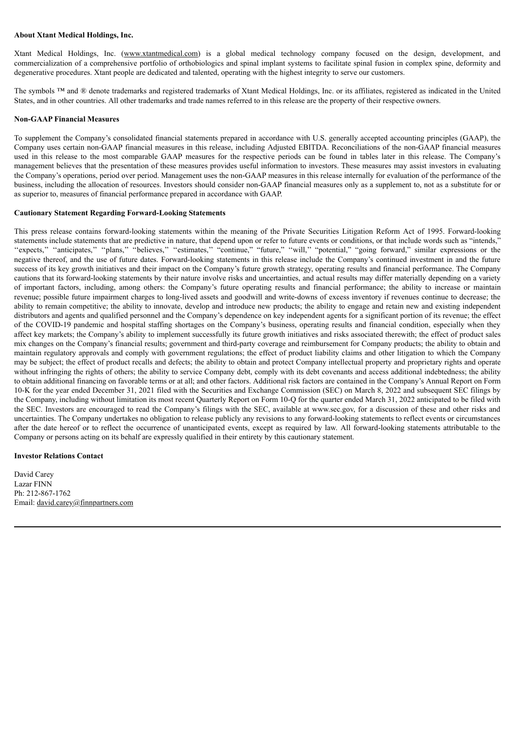#### **About Xtant Medical Holdings, Inc.**

Xtant Medical Holdings, Inc. (www.xtantmedical.com) is a global medical technology company focused on the design, development, and commercialization of a comprehensive portfolio of orthobiologics and spinal implant systems to facilitate spinal fusion in complex spine, deformity and degenerative procedures. Xtant people are dedicated and talented, operating with the highest integrity to serve our customers.

The symbols ™ and ® denote trademarks and registered trademarks of Xtant Medical Holdings, Inc. or its affiliates, registered as indicated in the United States, and in other countries. All other trademarks and trade names referred to in this release are the property of their respective owners.

#### **Non-GAAP Financial Measures**

To supplement the Company's consolidated financial statements prepared in accordance with U.S. generally accepted accounting principles (GAAP), the Company uses certain non-GAAP financial measures in this release, including Adjusted EBITDA. Reconciliations of the non-GAAP financial measures used in this release to the most comparable GAAP measures for the respective periods can be found in tables later in this release. The Company's management believes that the presentation of these measures provides useful information to investors. These measures may assist investors in evaluating the Company's operations, period over period. Management uses the non-GAAP measures in this release internally for evaluation of the performance of the business, including the allocation of resources. Investors should consider non-GAAP financial measures only as a supplement to, not as a substitute for or as superior to, measures of financial performance prepared in accordance with GAAP.

#### **Cautionary Statement Regarding Forward-Looking Statements**

This press release contains forward-looking statements within the meaning of the Private Securities Litigation Reform Act of 1995. Forward-looking statements include statements that are predictive in nature, that depend upon or refer to future events or conditions, or that include words such as "intends," ''expects,'' ''anticipates,'' ''plans,'' ''believes,'' ''estimates,'' "continue," "future," ''will,'' "potential," "going forward," similar expressions or the negative thereof, and the use of future dates. Forward-looking statements in this release include the Company's continued investment in and the future success of its key growth initiatives and their impact on the Company's future growth strategy, operating results and financial performance. The Company cautions that its forward-looking statements by their nature involve risks and uncertainties, and actual results may differ materially depending on a variety of important factors, including, among others: the Company's future operating results and financial performance; the ability to increase or maintain revenue; possible future impairment charges to long-lived assets and goodwill and write-downs of excess inventory if revenues continue to decrease; the ability to remain competitive; the ability to innovate, develop and introduce new products; the ability to engage and retain new and existing independent distributors and agents and qualified personnel and the Company's dependence on key independent agents for a significant portion of its revenue; the effect of the COVID-19 pandemic and hospital staffing shortages on the Company's business, operating results and financial condition, especially when they affect key markets; the Company's ability to implement successfully its future growth initiatives and risks associated therewith; the effect of product sales mix changes on the Company's financial results; government and third-party coverage and reimbursement for Company products; the ability to obtain and maintain regulatory approvals and comply with government regulations; the effect of product liability claims and other litigation to which the Company may be subject; the effect of product recalls and defects; the ability to obtain and protect Company intellectual property and proprietary rights and operate without infringing the rights of others; the ability to service Company debt, comply with its debt covenants and access additional indebtedness; the ability to obtain additional financing on favorable terms or at all; and other factors. Additional risk factors are contained in the Company's Annual Report on Form 10-K for the year ended December 31, 2021 filed with the Securities and Exchange Commission (SEC) on March 8, 2022 and subsequent SEC filings by the Company, including without limitation its most recent Quarterly Report on Form 10-Q for the quarter ended March 31, 2022 anticipated to be filed with the SEC. Investors are encouraged to read the Company's filings with the SEC, available at www.sec.gov, for a discussion of these and other risks and uncertainties. The Company undertakes no obligation to release publicly any revisions to any forward-looking statements to reflect events or circumstances after the date hereof or to reflect the occurrence of unanticipated events, except as required by law. All forward-looking statements attributable to the Company or persons acting on its behalf are expressly qualified in their entirety by this cautionary statement.

#### **Investor Relations Contact**

David Carey Lazar FINN Ph: 212-867-1762 Email: david.carey@finnpartners.com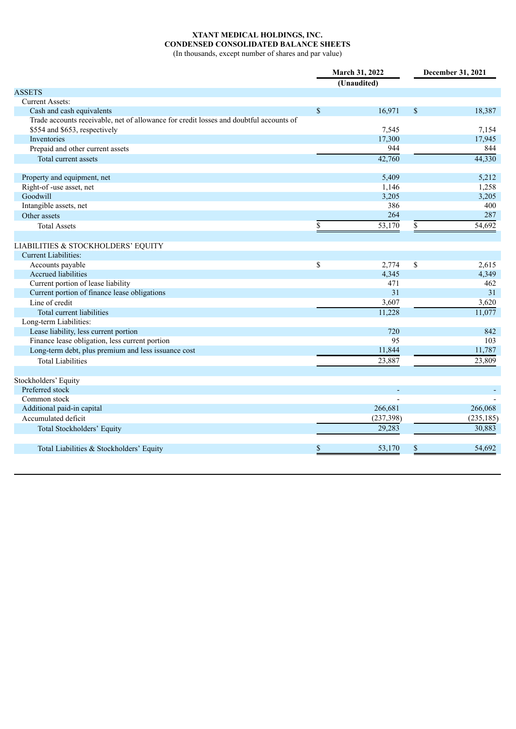#### **XTANT MEDICAL HOLDINGS, INC. CONDENSED CONSOLIDATED BALANCE SHEETS**

(In thousands, except number of shares and par value)

|                                                                                        |                         | March 31, 2022<br>(Unaudited) |             | December 31, 2021 |  |
|----------------------------------------------------------------------------------------|-------------------------|-------------------------------|-------------|-------------------|--|
| <b>ASSETS</b>                                                                          |                         |                               |             |                   |  |
| <b>Current Assets:</b>                                                                 |                         |                               |             |                   |  |
| Cash and cash equivalents                                                              | \$                      | 16,971                        | $\mathbf S$ | 18,387            |  |
| Trade accounts receivable, net of allowance for credit losses and doubtful accounts of |                         |                               |             |                   |  |
| \$554 and \$653, respectively                                                          |                         | 7,545                         |             | 7,154             |  |
| Inventories                                                                            |                         | 17,300                        |             | 17,945            |  |
| Prepaid and other current assets                                                       |                         | 944                           |             | 844               |  |
| Total current assets                                                                   |                         | 42,760                        |             | 44,330            |  |
| Property and equipment, net                                                            |                         | 5,409                         |             | 5,212             |  |
| Right-of-use asset, net                                                                |                         | 1,146                         |             | 1,258             |  |
| Goodwill                                                                               |                         | 3,205                         |             | 3,205             |  |
| Intangible assets, net                                                                 |                         | 386                           |             | 400               |  |
| Other assets                                                                           |                         | 264                           |             | 287               |  |
| <b>Total Assets</b>                                                                    | \$                      | 53,170                        | \$          | 54,692            |  |
| LIABILITIES & STOCKHOLDERS' EQUITY                                                     |                         |                               |             |                   |  |
| <b>Current Liabilities:</b>                                                            |                         |                               |             |                   |  |
| Accounts payable                                                                       | $\overline{\mathbb{S}}$ | 2,774                         | $\mathbb S$ | 2,615             |  |
| <b>Accrued liabilities</b>                                                             |                         | 4,345                         |             | 4,349             |  |
| Current portion of lease liability                                                     |                         | 471                           |             | 462               |  |
| Current portion of finance lease obligations                                           |                         | 31                            |             | 31                |  |
| Line of credit                                                                         |                         | 3,607                         |             | 3,620             |  |
| Total current liabilities                                                              |                         | 11,228                        |             | 11,077            |  |
| Long-term Liabilities:                                                                 |                         |                               |             |                   |  |
| Lease liability, less current portion                                                  |                         | 720                           |             | 842               |  |
| Finance lease obligation, less current portion                                         |                         | 95                            |             | 103               |  |
| Long-term debt, plus premium and less issuance cost                                    |                         | 11,844                        |             | 11,787            |  |
| <b>Total Liabilities</b>                                                               |                         | 23,887                        |             | 23,809            |  |
| Stockholders' Equity                                                                   |                         |                               |             |                   |  |
| Preferred stock                                                                        |                         | $\overline{\phantom{a}}$      |             |                   |  |
| Common stock                                                                           |                         |                               |             |                   |  |
| Additional paid-in capital                                                             |                         | 266,681                       |             | 266,068           |  |
| Accumulated deficit                                                                    |                         | (237, 398)                    |             | (235, 185)        |  |
| Total Stockholders' Equity                                                             |                         | 29,283                        |             | 30,883            |  |
| Total Liabilities & Stockholders' Equity                                               | S                       | 53,170                        | \$          | 54,692            |  |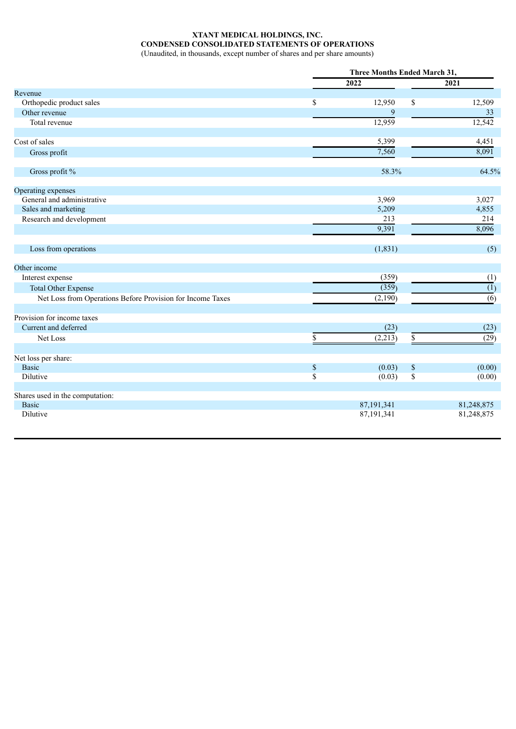## **XTANT MEDICAL HOLDINGS, INC. CONDENSED CONSOLIDATED STATEMENTS OF OPERATIONS**

(Unaudited, in thousands, except number of shares and per share amounts)

|                                                            |                 | <b>Three Months Ended March 31,</b> |                          |            |
|------------------------------------------------------------|-----------------|-------------------------------------|--------------------------|------------|
|                                                            |                 | 2022                                |                          | 2021       |
| Revenue                                                    |                 |                                     |                          |            |
| Orthopedic product sales                                   | \$              | 12,950                              | \$                       | 12,509     |
| Other revenue                                              |                 | 9                                   |                          | 33         |
| Total revenue                                              |                 | 12,959                              |                          | 12,542     |
| Cost of sales                                              |                 | 5,399                               |                          | 4,451      |
| Gross profit                                               |                 | 7,560                               |                          | 8,091      |
| Gross profit %                                             |                 | 58.3%                               |                          | 64.5%      |
| Operating expenses                                         |                 |                                     |                          |            |
| General and administrative                                 |                 | 3,969                               |                          | 3,027      |
| Sales and marketing                                        |                 | 5,209                               |                          | 4,855      |
| Research and development                                   |                 | 213                                 |                          | 214        |
|                                                            |                 | 9,391                               |                          | 8,096      |
| Loss from operations                                       |                 | (1, 831)                            |                          | (5)        |
| Other income                                               |                 |                                     |                          |            |
| Interest expense                                           |                 | (359)                               |                          | (1)        |
| <b>Total Other Expense</b>                                 |                 | (359)                               |                          | (1)        |
| Net Loss from Operations Before Provision for Income Taxes |                 | (2,190)                             |                          | (6)        |
| Provision for income taxes                                 |                 |                                     |                          |            |
| Current and deferred                                       |                 | (23)                                |                          | (23)       |
| Net Loss                                                   | \$              | (2,213)                             | \$                       | (29)       |
| Net loss per share:                                        |                 |                                     |                          |            |
| <b>Basic</b>                                               | $\$$            | (0.03)                              | $\mathbb S$              | (0.00)     |
| Dilutive                                                   | $\overline{\$}$ | (0.03)                              | $\overline{\mathcal{S}}$ | (0.00)     |
| Shares used in the computation:                            |                 |                                     |                          |            |
| <b>Basic</b>                                               |                 | 87, 191, 341                        |                          | 81,248,875 |
| Dilutive                                                   |                 | 87,191,341                          |                          | 81,248,875 |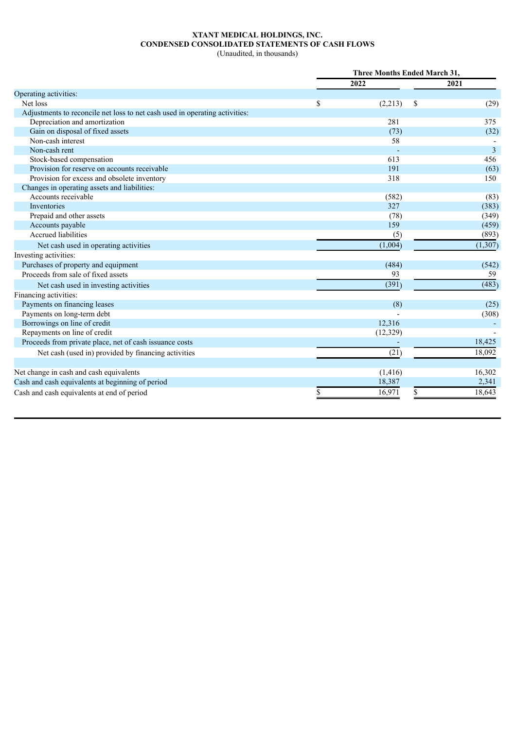## **XTANT MEDICAL HOLDINGS, INC. CONDENSED CONSOLIDATED STATEMENTS OF CASH FLOWS**

(Unaudited, in thousands)

|                                                                             | <b>Three Months Ended March 31,</b> |           |    |          |
|-----------------------------------------------------------------------------|-------------------------------------|-----------|----|----------|
|                                                                             |                                     | 2022      |    | 2021     |
| Operating activities:                                                       |                                     |           |    |          |
| Net loss                                                                    | \$                                  | (2,213)   | \$ | (29)     |
| Adjustments to reconcile net loss to net cash used in operating activities: |                                     |           |    |          |
| Depreciation and amortization                                               |                                     | 281       |    | 375      |
| Gain on disposal of fixed assets                                            |                                     | (73)      |    | (32)     |
| Non-cash interest                                                           |                                     | 58        |    |          |
| Non-cash rent                                                               |                                     |           |    | 3        |
| Stock-based compensation                                                    |                                     | 613       |    | 456      |
| Provision for reserve on accounts receivable                                |                                     | 191       |    | (63)     |
| Provision for excess and obsolete inventory                                 |                                     | 318       |    | 150      |
| Changes in operating assets and liabilities:                                |                                     |           |    |          |
| Accounts receivable                                                         |                                     | (582)     |    | (83)     |
| <b>Inventories</b>                                                          |                                     | 327       |    | (383)    |
| Prepaid and other assets                                                    |                                     | (78)      |    | (349)    |
| Accounts payable                                                            |                                     | 159       |    | (459)    |
| <b>Accrued liabilities</b>                                                  |                                     | (5)       |    | (893)    |
| Net cash used in operating activities                                       |                                     | (1,004)   |    | (1, 307) |
| Investing activities:                                                       |                                     |           |    |          |
| Purchases of property and equipment                                         |                                     | (484)     |    | (542)    |
| Proceeds from sale of fixed assets                                          |                                     | 93        |    | 59       |
| Net cash used in investing activities                                       |                                     | (391)     |    | (483)    |
| Financing activities:                                                       |                                     |           |    |          |
| Payments on financing leases                                                |                                     | (8)       |    | (25)     |
| Payments on long-term debt                                                  |                                     |           |    | (308)    |
| Borrowings on line of credit                                                |                                     | 12,316    |    |          |
| Repayments on line of credit                                                |                                     | (12, 329) |    |          |
| Proceeds from private place, net of cash issuance costs                     |                                     |           |    | 18,425   |
| Net cash (used in) provided by financing activities                         |                                     | (21)      |    | 18,092   |
|                                                                             |                                     |           |    |          |
| Net change in cash and cash equivalents                                     |                                     | (1,416)   |    | 16,302   |
| Cash and cash equivalents at beginning of period                            |                                     | 18,387    |    | 2,341    |
| Cash and cash equivalents at end of period                                  | \$                                  | 16,971    |    | 18,643   |